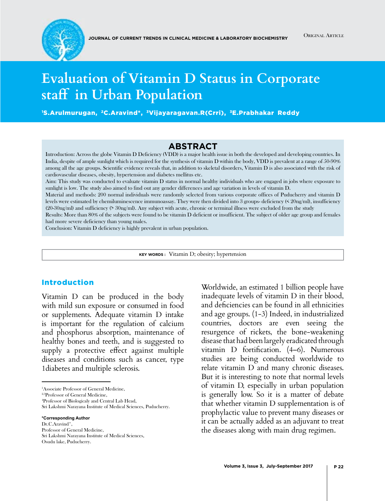

# **Evaluation of Vitamin D Status in Corporate staff in Urban Population**

1 S.Arulmurugan, 2C.Aravind\*, 3Vijayaragavan.R(Crri), 3E.Prabhakar Reddy

#### **Abstract**

Introduction: Across the globe Vitamin D Deficiency (VDD) is a major health issue in both the developed and developing countries. In India, despite of ample sunlight which is required for the synthesis of vitamin D within the body, VDD is prevalent at a range of 50-90% among all the age groups. Scientific evidence reveals that, in addition to skeletal disorders, Vitamin D is also associated with the risk of cardiovascular diseases, obesity, hypertension and diabetes mellitus etc.

Aim: This study was conducted to evaluate vitamin D status in normal healthy individuals who are engaged in jobs where exposure to sunlight is low. The study also aimed to find out any gender differences and age variation in levels of vitamin D.

Material and methods: 200 normal individuals were randomly selected from various corporate offices of Puducherry and vitamin D levels were estimated by chemiluminescence immunoassay. They were then divided into 3 groups- deficiency (< 20ng/ml), insufficiency (20-30ng/ml) and sufficiency (> 30ng/ml). Any subject with acute, chronic or terminal illness were excluded from the study

Results: More than 80% of the subjects were found to be vitamin D deficient or insufficient. The subject of older age group and females had more severe deficiency than young males.

Conclusion: Vitamin D deficiency is highly prevalent in urban population.

**Key words :** Vitamin D; obesity; hypertension

#### Introduction

Vitamin D can be produced in the body with mild sun exposure or consumed in food or supplements. Adequate vitamin D intake is important for the regulation of calcium and phosphorus absorption, maintenance of healthy bones and teeth, and is suggested to supply a protective effect against multiple diseases and conditions such as cancer, type 1diabetes and multiple sclerosis.

2,3Professor of General Medicine,

Dr.C.Aravind\*,

Professor of General Medicine,

Worldwide, an estimated 1 billion people have inadequate levels of vitamin D in their blood, and deficiencies can be found in all ethnicities and age groups. (1-3) Indeed, in industrialized countries, doctors are even seeing the resurgence of rickets, the bone-weakening disease that had been largely eradicated through vitamin D fortification. (4–6). Numerous studies are being conducted worldwide to relate vitamin D and many chronic diseases. But it is interesting to note that normal levels of vitamin D, especially in urban population is generally low. So it is a matter of debate that whether vitamin D supplementation is of prophylactic value to prevent many diseases or it can be actually added as an adjuvant to treat the diseases along with main drug regimen.

<sup>1</sup> Associate Professor of General Medicine,

<sup>4</sup> Professor of Biologicaly and Central Lab Head,

Sri Lakshmi Narayana Institute of Medical Sciences, Puducherry.

**<sup>\*</sup>Corresponding Author**

Sri Lakshmi Narayana Institute of Medical Sciences, Osudu lake, Puducherry.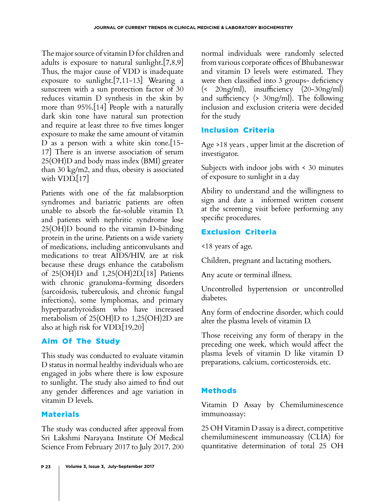The major source of vitamin D for children and adults is exposure to natural sunlight.[7,8,9] Thus, the major cause of VDD is inadequate exposure to sunlight.[7,11-13] Wearing a sunscreen with a sun protection factor of 30 reduces vitamin D synthesis in the skin by more than 95%.[14] People with a naturally dark skin tone have natural sun protection and require at least three to five times longer exposure to make the same amount of vitamin D as a person with a white skin tone.[15- 17] There is an inverse association of serum 25(OH)D and body mass index (BMI) greater than 30 kg/m2, and thus, obesity is associated with VDD.<sup>[17]</sup>

Patients with one of the fat malabsorption syndromes and bariatric patients are often unable to absorb the fat-soluble vitamin D, and patients with nephritic syndrome lose 25(OH)D bound to the vitamin D-binding protein in the urine. Patients on a wide variety of medications, including anticonvulsants and medications to treat AIDS/HIV, are at risk because these drugs enhance the catabolism of 25(OH)D and 1,25(OH)2D.[18] Patients with chronic granuloma-forming disorders (sarcoidosis, tuberculosis, and chronic fungal infections), some lymphomas, and primary hyperparathyroidism who have increased metabolism of 25(OH)D to 1,25(OH)2D are also at high risk for VDD.[19,20]

## Aim Of The Study

This study was conducted to evaluate vitamin D status in normal healthy individuals who are engaged in jobs where there is low exposure to sunlight. The study also aimed to find out any gender differences and age variation in vitamin D levels.

# Materials

The study was conducted after approval from Sri Lakshmi Narayana Institute Of Medical Science From February 2017 to July 2017. 200 normal individuals were randomly selected from various corporate offices of Bhubaneswar and vitamin D levels were estimated. They were then classified into 3 groups- deficiency (< 20ng/ml), insufficiency (20-30ng/ml) and sufficiency (> 30ng/ml). The following inclusion and exclusion criteria were decided for the study

## Inclusion Criteria

Age >18 years , upper limit at the discretion of investigator.

Subjects with indoor jobs with < 30 minutes of exposure to sunlight in a day

Ability to understand and the willingness to sign and date a informed written consent at the screening visit before performing any specific procedures.

# Exclusion Criteria

<18 years of age.

Children, pregnant and lactating mothers.

Any acute or terminal illness.

Uncontrolled hypertension or uncontrolled diabetes.

Any form of endocrine disorder, which could alter the plasma levels of vitamin D.

Those receiving any form of therapy in the preceding one week, which would affect the plasma levels of vitamin D like vitamin D preparations, calcium, corticosteroids, etc.

# Methods

Vitamin D Assay by Chemiluminescence immunoassay:

25 OH Vitamin D assay is a direct, competitive chemiluminescent immunoassay (CLIA) for quantitative determination of total 25 OH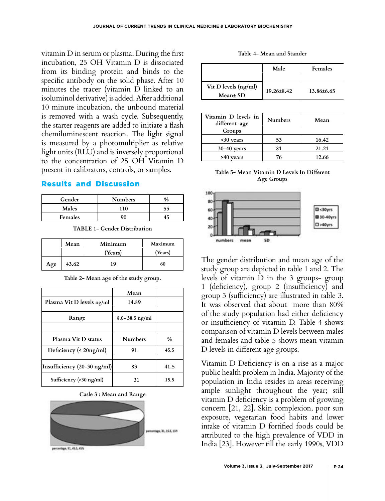vitamin D in serum or plasma. During the first incubation, 25 OH Vitamin D is dissociated from its binding protein and binds to the specific antibody on the solid phase. After 10 minutes the tracer (vitamin D linked to an isoluminol derivative) is added. After additional 10 minute incubation, the unbound material is removed with a wash cycle. Subsequently, the starter reagents are added to initiate a flash chemiluminescent reaction. The light signal is measured by a photomultiplier as relative light units (RLU) and is inversely proportional to the concentration of 25 OH Vitamin D present in calibrators, controls, or samples.

#### Results and Discussion

| Gender  | <b>Numbers</b> |    |
|---------|----------------|----|
| Males   | 10             | 55 |
| Females |                |    |

**TABLE 1- Gender Distribution**

|     | Mean  | Minimum | Maximum |
|-----|-------|---------|---------|
|     |       | (Years) | (Years) |
| Age | 43.62 | 19      | 60      |

**Table 2- Mean age of the study group.**

|                                       | Mean               |               |
|---------------------------------------|--------------------|---------------|
| Plasma Vit D levels ng/ml             | 14.89              |               |
| Range                                 | $8.0 - 38.5$ ng/ml |               |
|                                       |                    |               |
| Plasma Vit D status                   | <b>Numbers</b>     | $\frac{0}{0}$ |
| Deficiency (< 20ng/ml)                | 91                 | 45.5          |
| Insufficiency $(20-30 \text{ ng/ml})$ | 83                 | 41.5          |
| Sufficiency (>30 ng/ml)               | 31                 | 15.5          |

**Casle 3 : Mean and Range**



| Table 4- Mean and Stander |  |  |  |
|---------------------------|--|--|--|
|---------------------------|--|--|--|

|                                                                                          | Male             | <b>Females</b> |
|------------------------------------------------------------------------------------------|------------------|----------------|
| Vit D levels (ng/ml)<br>Mean± SD                                                         | $19.26 \pm 8.42$ | 13.86±6.65     |
| $\mathbf{W}_{\mathcal{L}}$ and $\mathbf{W}_{\mathcal{L}}$ and $\mathbf{W}_{\mathcal{L}}$ |                  |                |

| Vitamin D levels in<br>different age<br>Groups | <b>Numbers</b> | Mean  |
|------------------------------------------------|----------------|-------|
| <30 years                                      | 53             | 16.42 |
| $30 - 40$ years                                | 81             | 21.21 |
| vears                                          | 76             | 12.66 |

#### **Table 5- Mean Vitamin D Levels In Different Age Groups**



The gender distribution and mean age of the study group are depicted in table 1 and 2. The levels of vitamin D in the 3 groups- group 1 (deficiency), group 2 (insufficiency) and group 3 (sufficiency) are illustrated in table 3. It was observed that about more than 80% of the study population had either deficiency or insufficiency of vitamin D. Table 4 shows comparison of vitamin D levels between males and females and table 5 shows mean vitamin D levels in different age groups.

Vitamin D Deficiency is on a rise as a major public health problem in India. Majority of the population in India resides in areas receiving ample sunlight throughout the year; still vitamin D deficiency is a problem of growing concern [21, 22]. Skin complexion, poor sun exposure, vegetarian food habits and lower intake of vitamin D fortified foods could be attributed to the high prevalence of VDD in India [23]. However till the early 1990s, VDD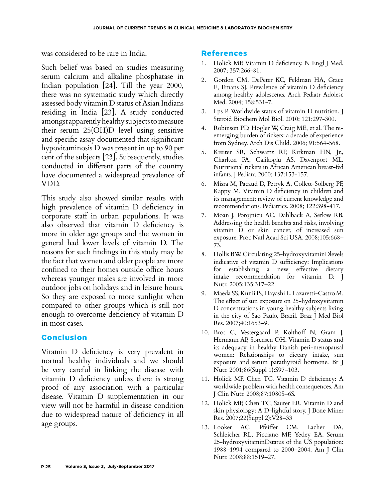was considered to be rare in India.

Such belief was based on studies measuring serum calcium and alkaline phosphatase in Indian population [24]. Till the year 2000, there was no systematic study which directly assessed body vitamin D status of Asian Indians residing in India [23]. A study conducted amongst apparently healthy subjects to measure their serum 25(OH)D level using sensitive and specific assay documented that significant hypovitaminosis D was present in up to 90 per cent of the subjects [23]. Subsequently, studies conducted in different parts of the country have documented a widespread prevalence of VDD.

This study also showed similar results with high prevalence of vitamin D deficiency in corporate staff in urban populations. It was also observed that vitamin D deficiency is more in older age groups and the women in general had lower levels of vitamin D. The reasons for such findings in this study may be the fact that women and older people are more confined to their homes outside office hours whereas younger males are involved in more outdoor jobs on holidays and in leisure hours. So they are exposed to more sunlight when compared to other groups which is still not enough to overcome deficiency of vitamin D in most cases.

### Conclusion

Vitamin D deficiency is very prevalent in normal healthy individuals and we should be very careful in linking the disease with vitamin D deficiency unless there is strong proof of any association with a particular disease. Vitamin D supplementation in our view will not be harmful in disease condition due to widespread nature of deficiency in all age groups.

#### References

- 1. Holick MF. Vitamin D deficiency. [N Engl J Med.](http://www.ncbi.nlm.nih.gov/pubmed/17634462?dopt=Citation)  2007; 357:266-81.
- 2. Gordon CM, DePeter KC, Feldman HA, Grace E, Emans SJ. Prevalence of vitamin D deficiency among healthy adolescents. [Arch Pediatr Adolesc](http://www.ncbi.nlm.nih.gov/pubmed/15184215?dopt=Citation)  [Med. 2](http://www.ncbi.nlm.nih.gov/pubmed/15184215?dopt=Citation)004; 158:531-7.
- 3. Lps P. Worldwide status of vitamin D nutrition. [J](http://www.ncbi.nlm.nih.gov/pubmed/20197091)  [Steroid Biochem Mol Biol.](http://www.ncbi.nlm.nih.gov/pubmed/20197091) 2010; 121:297-300.
- 4. Robinson PD, Hogler W, Craig ME, et al. The reemerging burden of rickets: a decade of experience from Sydney. [Arch Dis Child.](http://www.ncbi.nlm.nih.gov/pubmed/15956045?dopt=Citation) 2006; 91:564-568.
- 5. Kreiter SR, Schwartz RP, Kirkman HN, Jr., Charlton PA, Calikoglu AS, Davenport ML. Nutritional rickets in African American breast-fed infants. [J Pediatr.](http://www.ncbi.nlm.nih.gov/pubmed/10931404?dopt=Citation) 2000; 137:153-157.
- 6. Misra M, Pacaud D, Petryk A, Collett-Solberg PF, Kappy M. Vitamin D deficiency in children and its management: review of current knowledge and recommendations. [Pediatrics.](http://www.ncbi.nlm.nih.gov/pubmed/18676559?dopt=Citation) 2008; 122:398-417.
- 7. Moan J, Porojnicu AC, Dahlback A, Setlow RB. Addressing the health benefits and risks, involving vitamin D or skin cancer, of increased sun exposure. Proc Natl Acad Sci USA. 2008;105:668– 73.
- 8. Hollis BW. Circulating 25-hydroxyvitaminDlevels indicative of vitamin D sufficiency: Implications for establishing a new effective dietary intake recommendation for vitamin D. J Nutr. 2005;135:317–22
- 9. Maeda SS, Kunii IS, Hayashi L, Lazaretti-Castro M. The effect of sun exposure on 25-hydroxyvitamin D concentrations in young healthy subjects living in the city of Sao Paulo, Brazil. Braz J Med Biol Res. 2007;40:1653–9.
- 10. Brot C, Vestergaard P, Kolthoff N, Gram J, Hermann AP, Sorensen OH. Vitamin D status and its adequacy in healthy Danish peri-menopausal women: Relationships to dietary intake, sun exposure and serum parathyroid hormone. Br J Nutr. 2001;86(Suppl 1):S97–103.
- 11. Holick MF, Chen TC. Vitamin D deficiency: A worldwide problem with health consequences. Am J Clin Nutr. 2008;87:1080S–6S.
- 12. Holick MF, Chen TC, Sauter ER. Vitamin D and skin physiology: A D-lightful story. J Bone Miner Res. 2007;22(Suppl 2):V28–33
- 13. Looker AC, Pfeiffer CM, Lacher DA, Schleicher RL, Picciano MF, Yetley EA. Serum 25-hydroxyvitaminDstatus of the US population: 1988–1994 compared to 2000–2004. Am J Clin Nutr. 2008;88:1519–27.